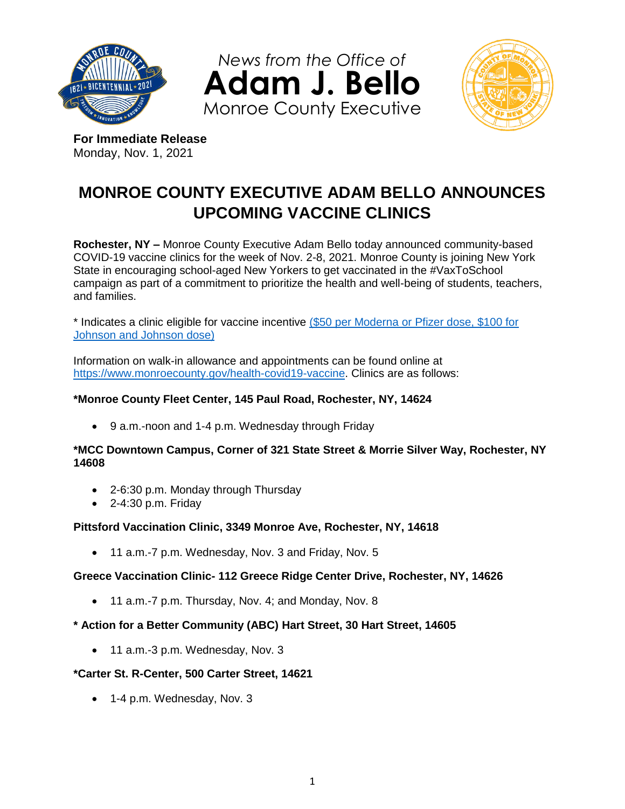

*News from the Office of* **Adam J. Bello** Monroe County Executive



**For Immediate Release** Monday, Nov. 1, 2021

# **MONROE COUNTY EXECUTIVE ADAM BELLO ANNOUNCES UPCOMING VACCINE CLINICS**

**Rochester, NY –** Monroe County Executive Adam Bello today announced community-based COVID-19 vaccine clinics for the week of Nov. 2-8, 2021. Monroe County is joining New York State in encouraging school-aged New Yorkers to get vaccinated in the #VaxToSchool campaign as part of a commitment to prioritize the health and well-being of students, teachers, and families.

\* Indicates a clinic eligible for vaccine incentive (\$50 per Moderna [or Pfizer dose, \\$100 for](https://www.monroecounty.gov/news-2021-10-26-incentive)  [Johnson and Johnson dose\)](https://www.monroecounty.gov/news-2021-10-26-incentive)

Information on walk-in allowance and appointments can be found online at [https://www.monroecounty.gov/health-covid19-vaccine.](https://www.monroecounty.gov/health-covid19-vaccine) Clinics are as follows:

## **\*Monroe County Fleet Center, 145 Paul Road, Rochester, NY, 14624**

9 a.m.-noon and 1-4 p.m. Wednesday through Friday

### **\*MCC Downtown Campus, Corner of 321 State Street & Morrie Silver Way, Rochester, NY 14608**

- 2-6:30 p.m. Monday through Thursday
- $\bullet$  2-4:30 p.m. Friday

### **Pittsford Vaccination Clinic, 3349 Monroe Ave, Rochester, NY, 14618**

• 11 a.m.-7 p.m. Wednesday, Nov. 3 and Friday, Nov. 5

### **Greece Vaccination Clinic- 112 Greece Ridge Center Drive, Rochester, NY, 14626**

- 11 a.m.-7 p.m. Thursday, Nov. 4; and Monday, Nov. 8
- **\* Action for a Better Community (ABC) Hart Street, 30 Hart Street, 14605**
	- 11 a.m.-3 p.m. Wednesday, Nov. 3

### **\*Carter St. R-Center, 500 Carter Street, 14621**

• 1-4 p.m. Wednesday, Nov. 3